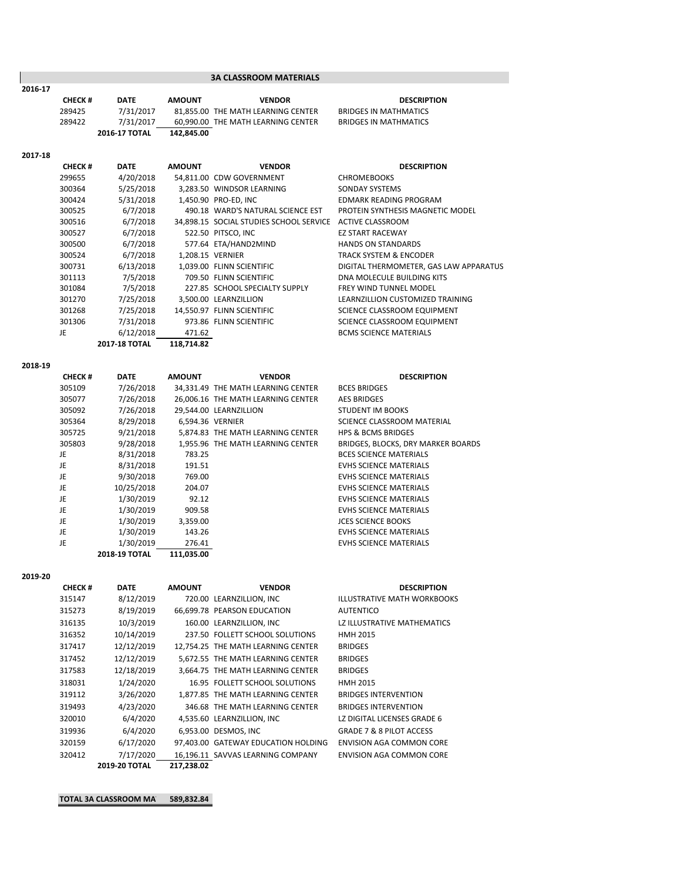|         |               |                      |               | <b>3A CLASSROOM MATERIALS</b>                            |                                        |
|---------|---------------|----------------------|---------------|----------------------------------------------------------|----------------------------------------|
| 2016-17 |               |                      |               |                                                          |                                        |
|         | <b>CHECK#</b> | <b>DATE</b>          | <b>AMOUNT</b> | <b>VENDOR</b>                                            | <b>DESCRIPTION</b>                     |
|         | 289425        | 7/31/2017            |               | 81,855.00 THE MATH LEARNING CENTER                       | <b>BRIDGES IN MATHMATICS</b>           |
|         | 289422        | 7/31/2017            |               | 60.990.00 THE MATH LEARNING CENTER                       | <b>BRIDGES IN MATHMATICS</b>           |
|         |               | 2016-17 TOTAL        | 142,845.00    |                                                          |                                        |
| 2017-18 |               |                      |               |                                                          |                                        |
|         | <b>CHECK#</b> | <b>DATE</b>          | <b>AMOUNT</b> | <b>VENDOR</b>                                            | <b>DESCRIPTION</b>                     |
|         | 299655        | 4/20/2018            |               | 54,811.00 CDW GOVERNMENT                                 | <b>CHROMEBOOKS</b>                     |
|         | 300364        | 5/25/2018            |               | 3,283.50 WINDSOR LEARNING                                | SONDAY SYSTEMS                         |
|         | 300424        | 5/31/2018            |               | 1,450.90 PRO-ED, INC                                     | <b>EDMARK READING PROGRAM</b>          |
|         | 300525        | 6/7/2018             |               | 490.18 WARD'S NATURAL SCIENCE EST                        | PROTEIN SYNTHESIS MAGNETIC MODEL       |
|         | 300516        | 6/7/2018             |               | 34,898.15 SOCIAL STUDIES SCHOOL SERVICE ACTIVE CLASSROOM |                                        |
|         | 300527        | 6/7/2018             |               | 522.50 PITSCO, INC                                       | <b>EZ START RACEWAY</b>                |
|         | 300500        | 6/7/2018             |               | 577.64 ETA/HAND2MIND                                     | <b>HANDS ON STANDARDS</b>              |
|         | 300524        | 6/7/2018             |               | 1,208.15 VERNIER                                         | TRACK SYSTEM & ENCODER                 |
|         | 300731        | 6/13/2018            |               | 1,039.00 FLINN SCIENTIFIC                                | DIGITAL THERMOMETER, GAS LAW APPARATUS |
|         | 301113        | 7/5/2018             |               | 709.50 FLINN SCIENTIFIC                                  | DNA MOLECULE BUILDING KITS             |
|         | 301084        | 7/5/2018             |               | 227.85 SCHOOL SPECIALTY SUPPLY                           | <b>FREY WIND TUNNEL MODEL</b>          |
|         | 301270        | 7/25/2018            |               | 3,500.00 LEARNZILLION                                    | LEARNZILLION CUSTOMIZED TRAINING       |
|         | 301268        | 7/25/2018            |               | 14,550.97 FLINN SCIENTIFIC                               | SCIENCE CLASSROOM EQUIPMENT            |
|         | 301306        | 7/31/2018            |               | 973.86 FLINN SCIENTIFIC                                  | SCIENCE CLASSROOM EQUIPMENT            |
|         | JE            | 6/12/2018            | 471.62        |                                                          | <b>BCMS SCIENCE MATERIALS</b>          |
|         |               | <b>2017-18 TOTAL</b> | 118,714.82    |                                                          |                                        |
|         |               |                      |               |                                                          |                                        |
| 2018-19 | <b>CHECK#</b> | <b>DATE</b>          | <b>AMOUNT</b> | <b>VENDOR</b>                                            | <b>DESCRIPTION</b>                     |
|         | 305109        | 7/26/2018            |               | 34,331.49 THE MATH LEARNING CENTER                       | <b>BCES BRIDGES</b>                    |
|         | 305077        | 7/26/2018            |               | 26,006.16 THE MATH LEARNING CENTER                       | <b>AES BRIDGES</b>                     |
|         | 305092        | 7/26/2018            |               | 29,544.00 LEARNZILLION                                   | STUDENT IM BOOKS                       |
|         | 305364        | 8/29/2018            |               | 6,594.36 VERNIER                                         | SCIENCE CLASSROOM MATERIAL             |
|         | 305725        | 9/21/2018            |               | 5,874.83 THE MATH LEARNING CENTER                        | <b>HPS &amp; BCMS BRIDGES</b>          |
|         | 305803        | 9/28/2018            |               | 1,955.96 THE MATH LEARNING CENTER                        | BRIDGES, BLOCKS, DRY MARKER BOARDS     |
|         | JE.           | 8/31/2018            | 783.25        |                                                          | <b>BCES SCIENCE MATERIALS</b>          |
|         | JE            | 8/31/2018            | 191.51        |                                                          | <b>EVHS SCIENCE MATERIALS</b>          |
|         | JE.           | 9/30/2018            | 769.00        |                                                          | <b>EVHS SCIENCE MATERIALS</b>          |
|         | JE            | 10/25/2018           | 204.07        |                                                          | <b>EVHS SCIENCE MATERIALS</b>          |
|         | JE.           | 1/30/2019            | 92.12         |                                                          | <b>EVHS SCIENCE MATERIALS</b>          |
|         | JE            | 1/30/2019            | 909.58        |                                                          | <b>EVHS SCIENCE MATERIALS</b>          |
|         | JE            | 1/30/2019            | 3,359.00      |                                                          | <b>JCES SCIENCE BOOKS</b>              |
|         | JE            | 1/30/2019            | 143.26        |                                                          | <b>EVHS SCIENCE MATERIALS</b>          |

**2019‐20**

| <b>CHECK#</b> | <b>DATE</b>          | <b>AMOUNT</b> | <b>VENDOR</b>                       | <b>DESCRIPTION</b>                  |
|---------------|----------------------|---------------|-------------------------------------|-------------------------------------|
| 315147        | 8/12/2019            |               | 720.00 LEARNZILLION, INC            | <b>ILLUSTRATIVE MATH WORKBOOKS</b>  |
| 315273        | 8/19/2019            |               | 66,699.78 PEARSON EDUCATION         | <b>AUTENTICO</b>                    |
| 316135        | 10/3/2019            |               | 160.00 LEARNZILLION, INC            | LZ ILLUSTRATIVE MATHEMATICS         |
| 316352        | 10/14/2019           |               | 237.50 FOLLETT SCHOOL SOLUTIONS     | HMH 2015                            |
| 317417        | 12/12/2019           |               | 12,754.25 THE MATH LEARNING CENTER  | <b>BRIDGES</b>                      |
| 317452        | 12/12/2019           |               | 5,672.55 THE MATH LEARNING CENTER   | <b>BRIDGES</b>                      |
| 317583        | 12/18/2019           |               | 3,664.75 THE MATH LEARNING CENTER   | <b>BRIDGES</b>                      |
| 318031        | 1/24/2020            |               | 16.95 FOLLETT SCHOOL SOLUTIONS      | <b>HMH 2015</b>                     |
| 319112        | 3/26/2020            |               | 1,877.85 THE MATH LEARNING CENTER   | <b>BRIDGES INTERVENTION</b>         |
| 319493        | 4/23/2020            |               | 346.68 THE MATH LEARNING CENTER     | <b>BRIDGES INTERVENTION</b>         |
| 320010        | 6/4/2020             |               | 4,535.60 LEARNZILLION, INC          | LZ DIGITAL LICENSES GRADE 6         |
| 319936        | 6/4/2020             |               | 6,953.00 DESMOS, INC                | <b>GRADE 7 &amp; 8 PILOT ACCESS</b> |
| 320159        | 6/17/2020            |               | 97,403.00 GATEWAY EDUCATION HOLDING | ENVISION AGA COMMON CORE            |
| 320412        | 7/17/2020            |               | 16,196.11 SAVVAS LEARNING COMPANY   | ENVISION AGA COMMON CORE            |
|               | <b>2019-20 TOTAL</b> | 217,238.02    |                                     |                                     |

JE 1/30/2019 143.26 EVHS SCIENCE MATERIALS

JE 1/30/2019 276.41 EVHS SCIENCE MATERIALS

**TOTAL 3A CLASSROOM MAT 589,832.84**

**2018‐19 TOTAL 111,035.00**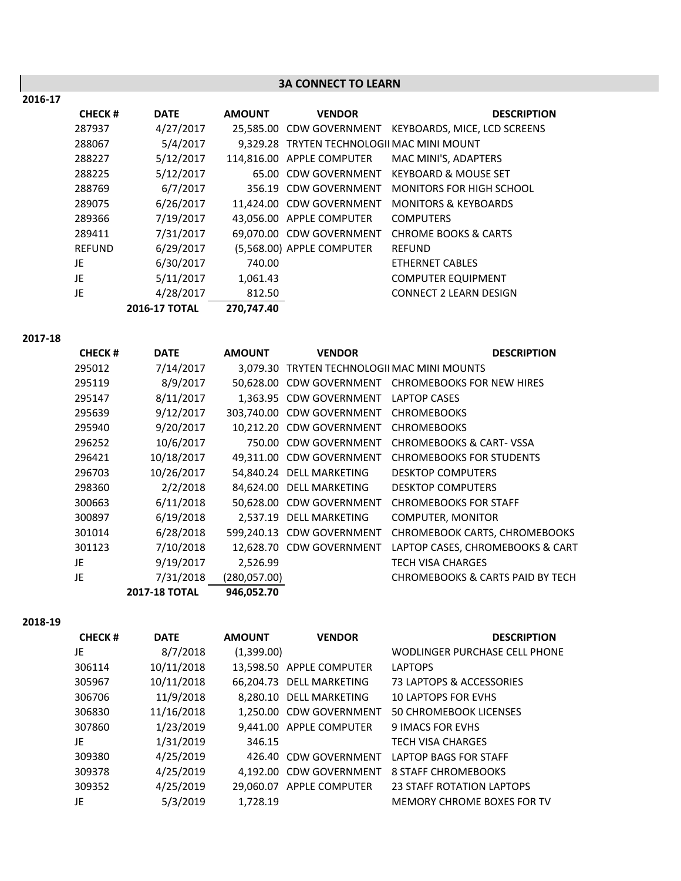**2016‐17**

# **3A CONNECT TO LEARN**

| <b>CHECK#</b> | <b>DATE</b>   | <b>AMOUNT</b> | <b>VENDOR</b>                              | <b>DESCRIPTION</b>              |
|---------------|---------------|---------------|--------------------------------------------|---------------------------------|
| 287937        | 4/27/2017     |               | 25.585.00 CDW GOVERNMENT                   | KEYBOARDS, MICE, LCD SCREENS    |
| 288067        | 5/4/2017      |               | 9,329.28 TRYTEN TECHNOLOGII MAC MINI MOUNT |                                 |
| 288227        | 5/12/2017     |               | 114,816.00 APPLE COMPUTER                  | MAC MINI'S, ADAPTERS            |
| 288225        | 5/12/2017     |               | 65.00 CDW GOVERNMENT                       | <b>KEYBOARD &amp; MOUSE SET</b> |
| 288769        | 6/7/2017      |               | 356.19 CDW GOVERNMENT                      | MONITORS FOR HIGH SCHOOL        |
| 289075        | 6/26/2017     |               | 11.424.00 CDW GOVERNMENT                   | <b>MONITORS &amp; KEYBOARDS</b> |
| 289366        | 7/19/2017     |               | 43,056.00 APPLE COMPUTER                   | <b>COMPUTERS</b>                |
| 289411        | 7/31/2017     |               | 69,070.00 CDW GOVERNMENT                   | <b>CHROME BOOKS &amp; CARTS</b> |
| <b>REFUND</b> | 6/29/2017     |               | (5,568.00) APPLE COMPUTER                  | <b>REFUND</b>                   |
| JE            | 6/30/2017     | 740.00        |                                            | <b>ETHERNET CABLES</b>          |
| JE            | 5/11/2017     | 1,061.43      |                                            | <b>COMPUTER EQUIPMENT</b>       |
| JE            | 4/28/2017     | 812.50        |                                            | <b>CONNECT 2 LEARN DESIGN</b>   |
|               | 2016-17 TOTAL | 270.747.40    |                                            |                                 |

**2017‐18**

| <b>CHECK#</b> | <b>DATE</b>          | <b>AMOUNT</b> | <b>VENDOR</b>                               | <b>DESCRIPTION</b>                                 |
|---------------|----------------------|---------------|---------------------------------------------|----------------------------------------------------|
| 295012        | 7/14/2017            |               | 3.079.30 TRYTEN TECHNOLOGII MAC MINI MOUNTS |                                                    |
| 295119        | 8/9/2017             |               |                                             | 50,628.00 CDW GOVERNMENT CHROMEBOOKS FOR NEW HIRES |
| 295147        | 8/11/2017            |               | 1,363.95 CDW GOVERNMENT                     | <b>LAPTOP CASES</b>                                |
| 295639        | 9/12/2017            |               | 303.740.00 CDW GOVERNMENT                   | <b>CHROMEBOOKS</b>                                 |
| 295940        | 9/20/2017            |               | 10,212.20 CDW GOVERNMENT                    | <b>CHROMEBOOKS</b>                                 |
| 296252        | 10/6/2017            |               | 750.00 CDW GOVERNMENT                       | <b>CHROMEBOOKS &amp; CART-VSSA</b>                 |
| 296421        | 10/18/2017           |               | 49,311.00 CDW GOVERNMENT                    | <b>CHROMEBOOKS FOR STUDENTS</b>                    |
| 296703        | 10/26/2017           |               | 54,840.24 DELL MARKETING                    | <b>DESKTOP COMPUTERS</b>                           |
| 298360        | 2/2/2018             |               | 84.624.00 DELL MARKETING                    | <b>DESKTOP COMPUTERS</b>                           |
| 300663        | 6/11/2018            |               | 50,628.00 CDW GOVERNMENT                    | <b>CHROMEBOOKS FOR STAFF</b>                       |
| 300897        | 6/19/2018            |               | 2.537.19 DELL MARKETING                     | <b>COMPUTER, MONITOR</b>                           |
| 301014        | 6/28/2018            |               | 599,240.13 CDW GOVERNMENT                   | CHROMEBOOK CARTS, CHROMEBOOKS                      |
| 301123        | 7/10/2018            |               | 12,628.70 CDW GOVERNMENT                    | LAPTOP CASES, CHROMEBOOKS & CART                   |
| JE            | 9/19/2017            | 2,526.99      |                                             | <b>TECH VISA CHARGES</b>                           |
| JE            | 7/31/2018            | (280, 057.00) |                                             | <b>CHROMEBOOKS &amp; CARTS PAID BY TECH</b>        |
|               | <b>2017-18 TOTAL</b> | 946.052.70    |                                             |                                                    |

**2018‐19**

| <b>CHECK#</b> | <b>DATE</b> | <b>AMOUNT</b> | <b>VENDOR</b>            | <b>DESCRIPTION</b>               |
|---------------|-------------|---------------|--------------------------|----------------------------------|
| JE            | 8/7/2018    | (1,399.00)    |                          | WODLINGER PURCHASE CELL PHONE    |
| 306114        | 10/11/2018  |               | 13,598.50 APPLE COMPUTER | <b>LAPTOPS</b>                   |
| 305967        | 10/11/2018  |               | 66,204.73 DELL MARKETING | 73 LAPTOPS & ACCESSORIES         |
| 306706        | 11/9/2018   |               | 8,280.10 DELL MARKETING  | <b>10 LAPTOPS FOR EVHS</b>       |
| 306830        | 11/16/2018  |               | 1.250.00 CDW GOVERNMENT  | <b>50 CHROMEBOOK LICENSES</b>    |
| 307860        | 1/23/2019   |               | 9,441.00 APPLE COMPUTER  | <b>9 IMACS FOR EVHS</b>          |
| JE            | 1/31/2019   | 346.15        |                          | <b>TECH VISA CHARGES</b>         |
| 309380        | 4/25/2019   |               | 426.40 CDW GOVERNMENT    | LAPTOP BAGS FOR STAFF            |
| 309378        | 4/25/2019   | 4.192.00      | <b>CDW GOVERNMENT</b>    | <b>8 STAFF CHROMEBOOKS</b>       |
| 309352        | 4/25/2019   | 29.060.07     | APPLE COMPUTER           | <b>23 STAFF ROTATION LAPTOPS</b> |
| JE            | 5/3/2019    | 1.728.19      |                          | MEMORY CHROME BOXES FOR TV       |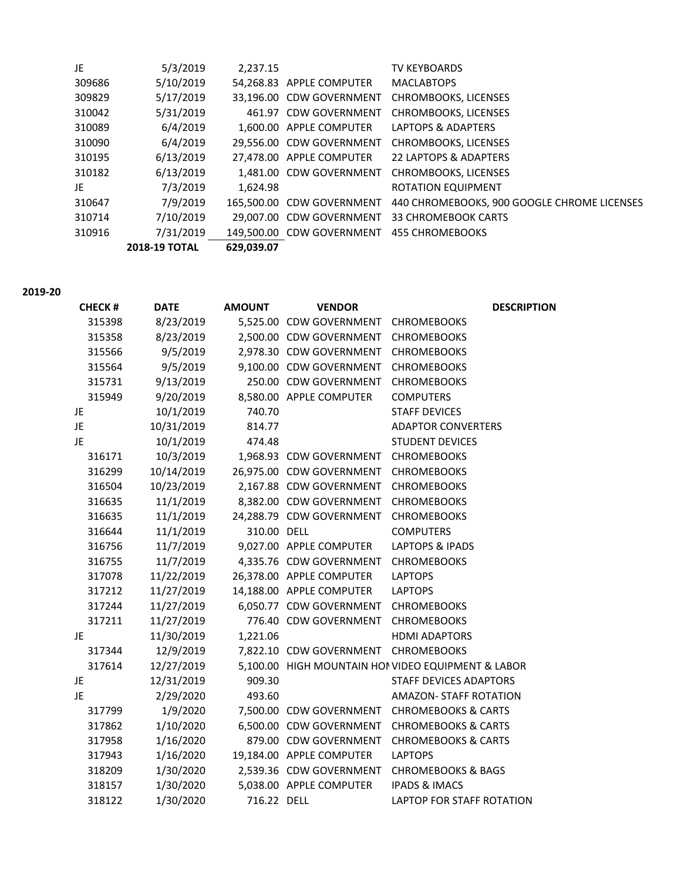| JE     | 5/3/2019             | 2,237.15   |                                           | <b>TV KEYBOARDS</b>                           |
|--------|----------------------|------------|-------------------------------------------|-----------------------------------------------|
| 309686 | 5/10/2019            |            | 54,268.83 APPLE COMPUTER                  | <b>MACLABTOPS</b>                             |
| 309829 | 5/17/2019            |            |                                           | 33,196.00 CDW GOVERNMENT CHROMBOOKS, LICENSES |
| 310042 | 5/31/2019            |            | 461.97 CDW GOVERNMENT                     | <b>CHROMBOOKS, LICENSES</b>                   |
| 310089 | 6/4/2019             |            | 1.600.00 APPLE COMPUTER                   | LAPTOPS & ADAPTERS                            |
| 310090 | 6/4/2019             |            |                                           | 29,556.00 CDW GOVERNMENT CHROMBOOKS, LICENSES |
| 310195 | 6/13/2019            |            | 27.478.00 APPLE COMPUTER                  | 22 LAPTOPS & ADAPTERS                         |
| 310182 | 6/13/2019            |            | 1.481.00 CDW GOVERNMENT                   | <b>CHROMBOOKS, LICENSES</b>                   |
| JE.    | 7/3/2019             | 1,624.98   |                                           | <b>ROTATION EQUIPMENT</b>                     |
| 310647 | 7/9/2019             |            | 165.500.00 CDW GOVERNMENT                 | 440 CHROMEBOOKS, 900 GOOGLE CHROME LICENSES   |
| 310714 | 7/10/2019            |            | 29.007.00 CDW GOVERNMENT                  | <b>33 CHROMEBOOK CARTS</b>                    |
| 310916 | 7/31/2019            |            | 149,500.00 CDW GOVERNMENT 455 CHROMEBOOKS |                                               |
|        | <b>2018-19 TOTAL</b> | 629,039.07 |                                           |                                               |

**2019‐20**

| <b>CHECK#</b> | <b>DATE</b> | <b>AMOUNT</b> | <b>VENDOR</b>                        | <b>DESCRIPTION</b>                                 |
|---------------|-------------|---------------|--------------------------------------|----------------------------------------------------|
| 315398        | 8/23/2019   |               | 5,525.00 CDW GOVERNMENT CHROMEBOOKS  |                                                    |
| 315358        | 8/23/2019   |               | 2,500.00 CDW GOVERNMENT              | <b>CHROMEBOOKS</b>                                 |
| 315566        | 9/5/2019    |               | 2,978.30 CDW GOVERNMENT              | <b>CHROMEBOOKS</b>                                 |
| 315564        | 9/5/2019    |               | 9,100.00 CDW GOVERNMENT              | <b>CHROMEBOOKS</b>                                 |
| 315731        | 9/13/2019   |               | 250.00 CDW GOVERNMENT                | <b>CHROMEBOOKS</b>                                 |
| 315949        | 9/20/2019   |               | 8,580.00 APPLE COMPUTER              | <b>COMPUTERS</b>                                   |
| JE            | 10/1/2019   | 740.70        |                                      | <b>STAFF DEVICES</b>                               |
| JE            | 10/31/2019  | 814.77        |                                      | <b>ADAPTOR CONVERTERS</b>                          |
| JE            | 10/1/2019   | 474.48        |                                      | <b>STUDENT DEVICES</b>                             |
| 316171        | 10/3/2019   |               | 1,968.93 CDW GOVERNMENT CHROMEBOOKS  |                                                    |
| 316299        | 10/14/2019  |               | 26,975.00 CDW GOVERNMENT CHROMEBOOKS |                                                    |
| 316504        | 10/23/2019  |               | 2,167.88 CDW GOVERNMENT              | <b>CHROMEBOOKS</b>                                 |
| 316635        | 11/1/2019   |               | 8,382.00 CDW GOVERNMENT              | <b>CHROMEBOOKS</b>                                 |
| 316635        | 11/1/2019   |               | 24,288.79 CDW GOVERNMENT             | <b>CHROMEBOOKS</b>                                 |
| 316644        | 11/1/2019   | 310.00 DELL   |                                      | <b>COMPUTERS</b>                                   |
| 316756        | 11/7/2019   |               | 9,027.00 APPLE COMPUTER              | <b>LAPTOPS &amp; IPADS</b>                         |
| 316755        | 11/7/2019   |               | 4,335.76 CDW GOVERNMENT              | <b>CHROMEBOOKS</b>                                 |
| 317078        | 11/22/2019  |               | 26,378.00 APPLE COMPUTER             | <b>LAPTOPS</b>                                     |
| 317212        | 11/27/2019  |               | 14,188.00 APPLE COMPUTER             | <b>LAPTOPS</b>                                     |
| 317244        | 11/27/2019  |               | 6,050.77 CDW GOVERNMENT CHROMEBOOKS  |                                                    |
| 317211        | 11/27/2019  |               | 776.40 CDW GOVERNMENT                | <b>CHROMEBOOKS</b>                                 |
| JE.           | 11/30/2019  | 1,221.06      |                                      | <b>HDMI ADAPTORS</b>                               |
| 317344        | 12/9/2019   |               | 7,822.10 CDW GOVERNMENT CHROMEBOOKS  |                                                    |
| 317614        | 12/27/2019  |               |                                      | 5,100.00 HIGH MOUNTAIN HOI VIDEO EQUIPMENT & LABOR |
| JE            | 12/31/2019  | 909.30        |                                      | STAFF DEVICES ADAPTORS                             |
| JE            | 2/29/2020   | 493.60        |                                      | <b>AMAZON- STAFF ROTATION</b>                      |
| 317799        | 1/9/2020    |               | 7,500.00 CDW GOVERNMENT              | <b>CHROMEBOOKS &amp; CARTS</b>                     |
| 317862        | 1/10/2020   |               | 6,500.00 CDW GOVERNMENT              | <b>CHROMEBOOKS &amp; CARTS</b>                     |
| 317958        | 1/16/2020   |               | 879.00 CDW GOVERNMENT                | <b>CHROMEBOOKS &amp; CARTS</b>                     |
| 317943        | 1/16/2020   |               | 19,184.00 APPLE COMPUTER             | <b>LAPTOPS</b>                                     |
| 318209        | 1/30/2020   |               | 2,539.36 CDW GOVERNMENT              | <b>CHROMEBOOKS &amp; BAGS</b>                      |
| 318157        | 1/30/2020   |               | 5,038.00 APPLE COMPUTER              | <b>IPADS &amp; IMACS</b>                           |
| 318122        | 1/30/2020   | 716.22 DELL   |                                      | LAPTOP FOR STAFF ROTATION                          |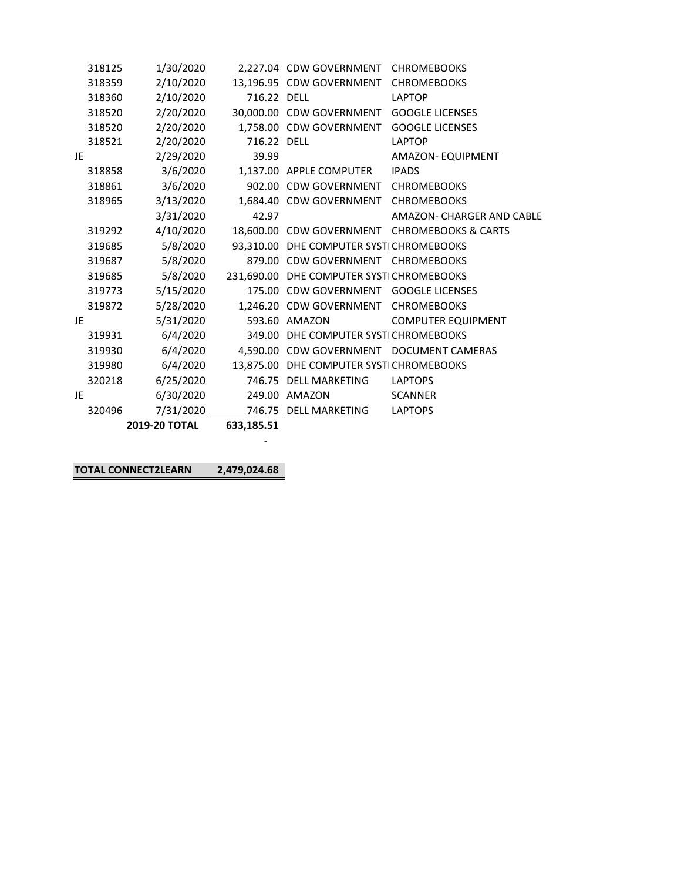|    |        | <b>2019-20 TOTAL</b> | 633,185.51  |                                          |                                                   |
|----|--------|----------------------|-------------|------------------------------------------|---------------------------------------------------|
|    | 320496 | 7/31/2020            |             | 746.75 DELL MARKETING                    | <b>LAPTOPS</b>                                    |
| JE |        | 6/30/2020            |             | 249.00 AMAZON                            | <b>SCANNER</b>                                    |
|    | 320218 | 6/25/2020            |             | 746.75 DELL MARKETING                    | <b>LAPTOPS</b>                                    |
|    | 319980 | 6/4/2020             |             | 13,875.00 DHE COMPUTER SYSTICHROMEBOOKS  |                                                   |
|    | 319930 |                      |             |                                          | 6/4/2020 4,590.00 CDW GOVERNMENT DOCUMENT CAMERAS |
|    | 319931 | 6/4/2020             |             | 349.00 DHE COMPUTER SYSTICHROMEBOOKS     |                                                   |
| JE |        | 5/31/2020            |             | 593.60 AMAZON                            | <b>COMPUTER EQUIPMENT</b>                         |
|    | 319872 | 5/28/2020            |             | 1,246.20 CDW GOVERNMENT CHROMEBOOKS      |                                                   |
|    | 319773 | 5/15/2020            |             | 175.00 CDW GOVERNMENT GOOGLE LICENSES    |                                                   |
|    | 319685 | 5/8/2020             |             | 231,690.00 DHE COMPUTER SYSTICHROMEBOOKS |                                                   |
|    | 319687 | 5/8/2020             |             | 879.00 CDW GOVERNMENT CHROMEBOOKS        |                                                   |
|    | 319685 | 5/8/2020             |             | 93,310.00 DHE COMPUTER SYSTICHROMEBOOKS  |                                                   |
|    | 319292 | 4/10/2020            |             |                                          | 18,600.00 CDW GOVERNMENT CHROMEBOOKS & CARTS      |
|    |        | 3/31/2020            | 42.97       |                                          | AMAZON- CHARGER AND CABLE                         |
|    | 318965 | 3/13/2020            |             | 1,684.40 CDW GOVERNMENT CHROMEBOOKS      |                                                   |
|    | 318861 | 3/6/2020             |             | 902.00 CDW GOVERNMENT CHROMEBOOKS        |                                                   |
|    | 318858 | 3/6/2020             |             | 1.137.00 APPLE COMPUTER                  | <b>IPADS</b>                                      |
| JE |        | 2/29/2020            | 39.99       |                                          | AMAZON- EQUIPMENT                                 |
|    | 318521 | 2/20/2020            | 716.22 DELL |                                          | <b>LAPTOP</b>                                     |
|    | 318520 | 2/20/2020            |             | 1,758.00 CDW GOVERNMENT GOOGLE LICENSES  |                                                   |
|    | 318520 | 2/20/2020            |             | 30,000.00 CDW GOVERNMENT GOOGLE LICENSES |                                                   |
|    | 318360 | 2/10/2020            | 716.22 DELL |                                          | LAPTOP                                            |
|    | 318359 | 2/10/2020            |             | 13,196.95 CDW GOVERNMENT CHROMEBOOKS     |                                                   |
|    | 318125 | 1/30/2020            |             | 2,227.04 CDW GOVERNMENT CHROMEBOOKS      |                                                   |

**TOTAL CONNECT2LEARN 2,479,024.68** 

es a constructo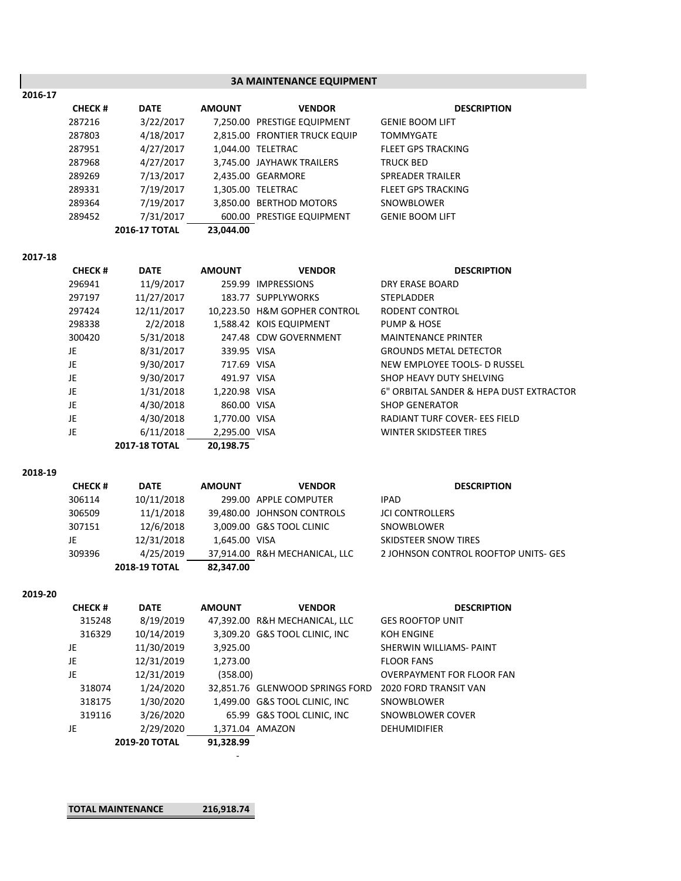## **3A MAINTENANCE EQUIPMENT**

**DESCRIPTION** 

| 2016-17 |               |                      |               |                               |                           |
|---------|---------------|----------------------|---------------|-------------------------------|---------------------------|
|         | <b>CHECK#</b> | <b>DATE</b>          | <b>AMOUNT</b> | <b>VENDOR</b>                 | <b>DES</b>                |
|         | 287216        | 3/22/2017            |               | 7,250.00 PRESTIGE EQUIPMENT   | <b>GENIE BOOM LIFT</b>    |
|         | 287803        | 4/18/2017            |               | 2,815.00 FRONTIER TRUCK EQUIP | <b>TOMMYGATE</b>          |
|         | 287951        | 4/27/2017            |               | 1,044.00 TELETRAC             | <b>FLEET GPS TRACKING</b> |
|         | 287968        | 4/27/2017            |               | 3,745.00 JAYHAWK TRAILERS     | <b>TRUCK BED</b>          |
|         | 289269        | 7/13/2017            |               | 2,435.00 GEARMORE             | <b>SPREADER TRAILER</b>   |
|         | 289331        | 7/19/2017            |               | 1,305.00 TELETRAC             | <b>FLEET GPS TRACKING</b> |
|         | 289364        | 7/19/2017            |               | 3,850.00 BERTHOD MOTORS       | SNOWBLOWER                |
|         | 289452        | 7/31/2017            |               | 600.00 PRESTIGE EQUIPMENT     | <b>GENIE BOOM LIFT</b>    |
|         |               | <b>2016-17 TOTAL</b> | 23.044.00     |                               |                           |

### **2017‐18**

| <b>CHECK#</b> | <b>DATE</b>          | <b>AMOUNT</b> | <b>VENDOR</b>                | <b>DESCRIPTION</b>                      |
|---------------|----------------------|---------------|------------------------------|-----------------------------------------|
| 296941        | 11/9/2017            |               | 259.99 IMPRESSIONS           | DRY ERASE BOARD                         |
| 297197        | 11/27/2017           |               | 183.77 SUPPLYWORKS           | <b>STEPLADDER</b>                       |
| 297424        | 12/11/2017           |               | 10.223.50 H&M GOPHER CONTROL | RODENT CONTROL                          |
| 298338        | 2/2/2018             |               | 1,588.42 KOIS EQUIPMENT      | PUMP & HOSE                             |
| 300420        | 5/31/2018            |               | 247.48 CDW GOVERNMENT        | <b>MAINTENANCE PRINTER</b>              |
| JE            | 8/31/2017            | 339.95 VISA   |                              | <b>GROUNDS METAL DETECTOR</b>           |
| JE            | 9/30/2017            | 717.69 VISA   |                              | NEW EMPLOYEE TOOLS- D RUSSEL            |
| JE            | 9/30/2017            | 491.97 VISA   |                              | SHOP HEAVY DUTY SHELVING                |
| JE            | 1/31/2018            | 1,220.98 VISA |                              | 6" ORBITAL SANDER & HEPA DUST EXTRACTOR |
| JE            | 4/30/2018            | 860.00 VISA   |                              | <b>SHOP GENERATOR</b>                   |
| JE            | 4/30/2018            | 1,770.00 VISA |                              | RADIANT TURF COVER- EES FIELD           |
| JE            | 6/11/2018            | 2,295.00 VISA |                              | WINTER SKIDSTEER TIRES                  |
|               | <b>2017-18 TOTAL</b> | 20,198.75     |                              |                                         |
|               |                      |               |                              |                                         |

#### **2018‐19**

| <b>CHECK#</b> | <b>DATE</b>          | <b>AMOUNT</b> | <b>VENDOR</b>                 | <b>DESCRIPTION</b>                   |
|---------------|----------------------|---------------|-------------------------------|--------------------------------------|
| 306114        | 10/11/2018           |               | 299.00 APPLE COMPUTER         | IPAD                                 |
| 306509        | 11/1/2018            |               | 39,480.00 JOHNSON CONTROLS    | <b>JCI CONTROLLERS</b>               |
| 307151        | 12/6/2018            |               | 3.009.00 G&S TOOL CLINIC      | SNOWBLOWER                           |
| JE            | 12/31/2018           | 1.645.00 VISA |                               | SKIDSTEER SNOW TIRES                 |
| 309396        | 4/25/2019            |               | 37,914.00 R&H MECHANICAL, LLC | 2 JOHNSON CONTROL ROOFTOP UNITS- GES |
|               | <b>2018-19 TOTAL</b> | 82,347.00     |                               |                                      |
|               |                      |               |                               |                                      |

#### **2019‐20**

| <b>CHECK#</b> | <b>DATE</b>          | <b>AMOUNT</b> | <b>VENDOR</b>                   | <b>DESCRIPTION</b>               |
|---------------|----------------------|---------------|---------------------------------|----------------------------------|
| 315248        | 8/19/2019            |               | 47,392.00 R&H MECHANICAL, LLC   | <b>GES ROOFTOP UNIT</b>          |
| 316329        | 10/14/2019           |               | 3,309.20 G&S TOOL CLINIC, INC   | KOH ENGINE                       |
| JE            | 11/30/2019           | 3,925.00      |                                 | SHERWIN WILLIAMS- PAINT          |
| JE            | 12/31/2019           | 1,273.00      |                                 | <b>FLOOR FANS</b>                |
| JE            | 12/31/2019           | (358.00)      |                                 | <b>OVERPAYMENT FOR FLOOR FAN</b> |
| 318074        | 1/24/2020            |               | 32,851.76 GLENWOOD SPRINGS FORD | 2020 FORD TRANSIT VAN            |
| 318175        | 1/30/2020            |               | 1,499.00 G&S TOOL CLINIC, INC   | SNOWBLOWER                       |
| 319116        | 3/26/2020            |               | 65.99 G&S TOOL CLINIC, INC      | SNOWBLOWER COVER                 |
| JE            | 2/29/2020            |               | 1,371.04 AMAZON                 | <b>DEHUMIDIFIER</b>              |
|               | <b>2019-20 TOTAL</b> | 91.328.99     |                                 |                                  |

**TOTAL MAINTENANCE 216,918.74** 

en andere a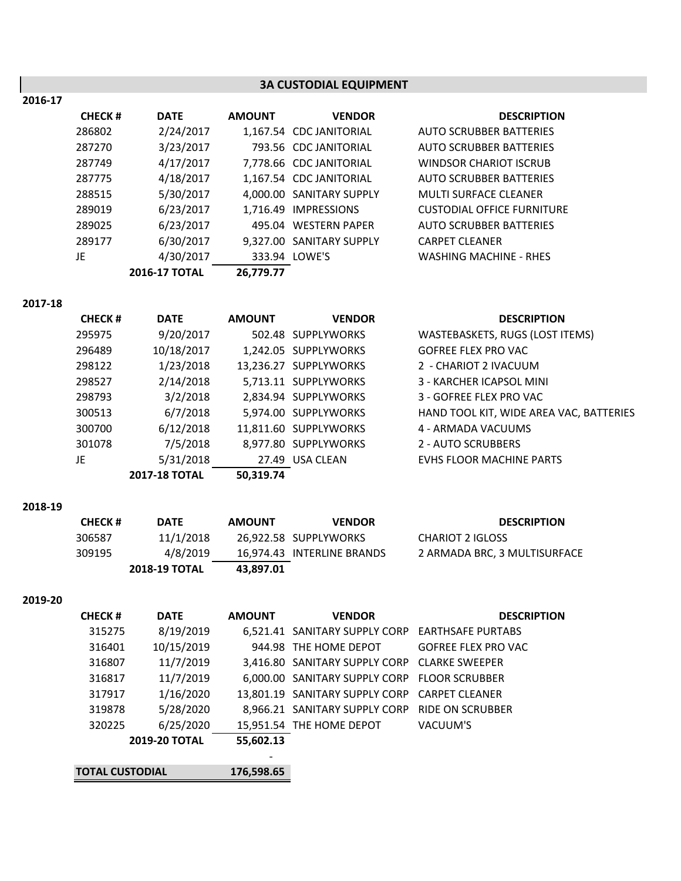|         |               |               |               | <b>3A CUSTODIAL EQUIPMENT</b> |                                         |
|---------|---------------|---------------|---------------|-------------------------------|-----------------------------------------|
| 2016-17 |               |               |               |                               |                                         |
|         | <b>CHECK#</b> | <b>DATE</b>   | <b>AMOUNT</b> | <b>VENDOR</b>                 | <b>DESCRIPTION</b>                      |
|         | 286802        | 2/24/2017     |               | 1,167.54 CDC JANITORIAL       | <b>AUTO SCRUBBER BATTERIES</b>          |
|         | 287270        | 3/23/2017     |               | 793.56 CDC JANITORIAL         | <b>AUTO SCRUBBER BATTERIES</b>          |
|         | 287749        | 4/17/2017     |               | 7,778.66 CDC JANITORIAL       | <b>WINDSOR CHARIOT ISCRUB</b>           |
|         | 287775        | 4/18/2017     |               | 1,167.54 CDC JANITORIAL       | <b>AUTO SCRUBBER BATTERIES</b>          |
|         | 288515        | 5/30/2017     |               | 4,000.00 SANITARY SUPPLY      | <b>MULTI SURFACE CLEANER</b>            |
|         | 289019        | 6/23/2017     |               | 1,716.49 IMPRESSIONS          | <b>CUSTODIAL OFFICE FURNITURE</b>       |
|         | 289025        | 6/23/2017     |               | 495.04 WESTERN PAPER          | <b>AUTO SCRUBBER BATTERIES</b>          |
|         | 289177        | 6/30/2017     |               | 9,327.00 SANITARY SUPPLY      | <b>CARPET CLEANER</b>                   |
|         | JE            | 4/30/2017     |               | 333.94 LOWE'S                 | <b>WASHING MACHINE - RHES</b>           |
|         |               | 2016-17 TOTAL | 26,779.77     |                               |                                         |
| 2017-18 |               |               |               |                               |                                         |
|         | <b>CHECK#</b> | <b>DATE</b>   | <b>AMOUNT</b> | <b>VENDOR</b>                 | <b>DESCRIPTION</b>                      |
|         | 295975        | 9/20/2017     |               | 502.48 SUPPLYWORKS            | WASTEBASKETS, RUGS (LOST ITEMS)         |
|         | 296489        | 10/18/2017    |               | 1,242.05 SUPPLYWORKS          | <b>GOFREE FLEX PRO VAC</b>              |
|         | 298122        | 1/23/2018     |               | 13,236.27 SUPPLYWORKS         | 2 - CHARIOT 2 IVACUUM                   |
|         | 298527        | 2/14/2018     |               | 5,713.11 SUPPLYWORKS          | 3 - KARCHER ICAPSOL MINI                |
|         | 298793        | 3/2/2018      |               | 2,834.94 SUPPLYWORKS          | 3 - GOFREE FLEX PRO VAC                 |
|         | 300513        | 6/7/2018      |               | 5,974.00 SUPPLYWORKS          | HAND TOOL KIT, WIDE AREA VAC, BATTERIES |

| 295975 | 9/20/2017  | 502.48 SUPPLYWORKS    | WASTEBASKETS, RUGS (LOST)       |
|--------|------------|-----------------------|---------------------------------|
| 296489 | 10/18/2017 | 1,242.05 SUPPLYWORKS  | <b>GOFREE FLEX PRO VAC</b>      |
| 298122 | 1/23/2018  | 13,236.27 SUPPLYWORKS | 2 - CHARIOT 2 IVACUUM           |
| 298527 | 2/14/2018  | 5,713.11 SUPPLYWORKS  | 3 - KARCHER ICAPSOL MINI        |
| 298793 | 3/2/2018   | 2,834.94 SUPPLYWORKS  | 3 - GOFREE FLEX PRO VAC         |
| 300513 | 6/7/2018   | 5,974.00 SUPPLYWORKS  | HAND TOOL KIT, WIDE AREA \      |
| 300700 | 6/12/2018  | 11,811.60 SUPPLYWORKS | 4 - ARMADA VACUUMS              |
| 301078 | 7/5/2018   | 8,977.80 SUPPLYWORKS  | <b>2 - AUTO SCRUBBERS</b>       |
| JE     | 5/31/2018  | 27.49 USA CLEAN       | <b>EVHS FLOOR MACHINE PARTS</b> |
|        |            |                       |                                 |

**2017‐18 TOTAL 50,319.74**

**2018‐19**

| <b>CHECK #</b> | <b>DATE</b>          | <b>AMOUNT</b> | <b>VENDOR</b>              | <b>DESCRIPTION</b>           |
|----------------|----------------------|---------------|----------------------------|------------------------------|
| 306587         | 11/1/2018            |               | 26.922.58 SUPPLYWORKS      | CHARIOT 2 IGLOSS             |
| 309195         | 4/8/2019             |               | 16.974.43 INTERLINE BRANDS | 2 ARMADA BRC. 3 MULTISURFACE |
|                | <b>2018-19 TOTAL</b> | 43.897.01     |                            |                              |

**2019‐20**

| <b>CHECK#</b>          | <b>DATE</b> | <b>AMOUNT</b> | <b>VENDOR</b>                                   | <b>DESCRIPTION</b>         |
|------------------------|-------------|---------------|-------------------------------------------------|----------------------------|
| 315275                 | 8/19/2019   |               | 6,521.41 SANITARY SUPPLY CORP EARTHSAFE PURTABS |                            |
| 316401                 | 10/15/2019  |               | 944.98 THE HOME DEPOT                           | <b>GOFREE FLEX PRO VAC</b> |
| 316807                 | 11/7/2019   |               | 3,416.80 SANITARY SUPPLY CORP CLARKE SWEEPER    |                            |
| 316817                 | 11/7/2019   |               | 6,000.00 SANITARY SUPPLY CORP                   | <b>FLOOR SCRUBBER</b>      |
| 317917                 | 1/16/2020   |               | 13,801.19 SANITARY SUPPLY CORP                  | <b>CARPET CLEANER</b>      |
| 319878                 | 5/28/2020   |               | 8,966.21 SANITARY SUPPLY CORP                   | <b>RIDE ON SCRUBBER</b>    |
| 320225                 | 6/25/2020   |               | 15,951.54 THE HOME DEPOT                        | VACUUM'S                   |
| <b>2019-20 TOTAL</b>   |             | 55,602.13     |                                                 |                            |
|                        |             |               |                                                 |                            |
| <b>TOTAL CUSTODIAL</b> |             | 176.598.65    |                                                 |                            |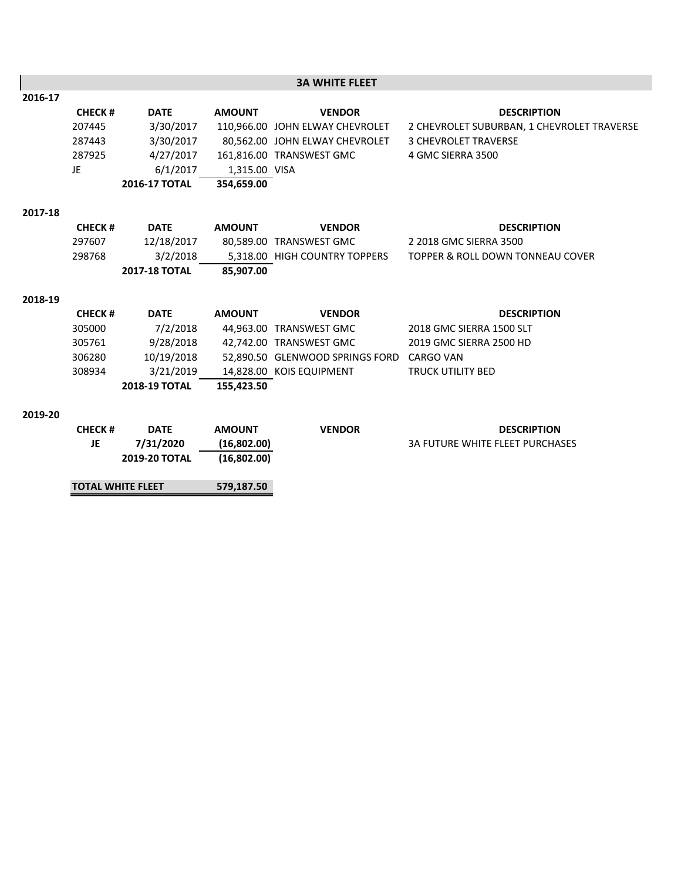|         |                          |                      |               | <b>3A WHITE FLEET</b>                     |                                             |
|---------|--------------------------|----------------------|---------------|-------------------------------------------|---------------------------------------------|
| 2016-17 |                          |                      |               |                                           |                                             |
|         | <b>CHECK#</b>            | <b>DATE</b>          | <b>AMOUNT</b> | <b>VENDOR</b>                             | <b>DESCRIPTION</b>                          |
|         | 207445                   | 3/30/2017            |               | 110,966.00 JOHN ELWAY CHEVROLET           | 2 CHEVROLET SUBURBAN, 1 CHEVROLET TRAVERSE  |
|         | 287443                   | 3/30/2017            |               | 80,562.00 JOHN ELWAY CHEVROLET            | <b>3 CHEVROLET TRAVERSE</b>                 |
|         | 287925                   | 4/27/2017            |               | 161,816.00 TRANSWEST GMC                  | 4 GMC SIERRA 3500                           |
|         | JE                       | 6/1/2017             | 1,315.00 VISA |                                           |                                             |
|         |                          | 2016-17 TOTAL        | 354.659.00    |                                           |                                             |
| 2017-18 |                          |                      |               |                                           |                                             |
|         | <b>CHECK#</b>            | <b>DATE</b>          | <b>AMOUNT</b> | <b>VENDOR</b>                             | <b>DESCRIPTION</b>                          |
|         | 297607                   | 12/18/2017           |               | 80,589.00 TRANSWEST GMC                   | 2 2018 GMC SIERRA 3500                      |
|         | 298768                   | 3/2/2018             |               | 5,318.00 HIGH COUNTRY TOPPERS             | <b>TOPPER &amp; ROLL DOWN TONNEAU COVER</b> |
|         |                          | <b>2017-18 TOTAL</b> | 85,907.00     |                                           |                                             |
| 2018-19 |                          |                      |               |                                           |                                             |
|         | <b>CHECK#</b>            | <b>DATE</b>          | <b>AMOUNT</b> | <b>VENDOR</b>                             | <b>DESCRIPTION</b>                          |
|         | 305000                   | 7/2/2018             |               | 44,963.00 TRANSWEST GMC                   | 2018 GMC SIERRA 1500 SLT                    |
|         | 305761                   | 9/28/2018            |               | 42,742.00 TRANSWEST GMC                   | 2019 GMC SIERRA 2500 HD                     |
|         | 306280                   | 10/19/2018           |               | 52,890.50 GLENWOOD SPRINGS FORD CARGO VAN |                                             |
|         | 308934                   | 3/21/2019            |               | 14,828.00 KOIS EQUIPMENT                  | <b>TRUCK UTILITY BED</b>                    |
|         |                          | 2018-19 TOTAL        | 155,423.50    |                                           |                                             |
| 2019-20 |                          |                      |               |                                           |                                             |
|         | <b>CHECK#</b>            | <b>DATE</b>          | <b>AMOUNT</b> | <b>VENDOR</b>                             | <b>DESCRIPTION</b>                          |
|         | JE                       | 7/31/2020            | (16,802.00)   |                                           | <b>3A FUTURE WHITE FLEET PURCHASES</b>      |
|         |                          | <b>2019-20 TOTAL</b> | (16,802.00)   |                                           |                                             |
|         | <b>TOTAL WHITE FLEET</b> |                      | 579,187.50    |                                           |                                             |